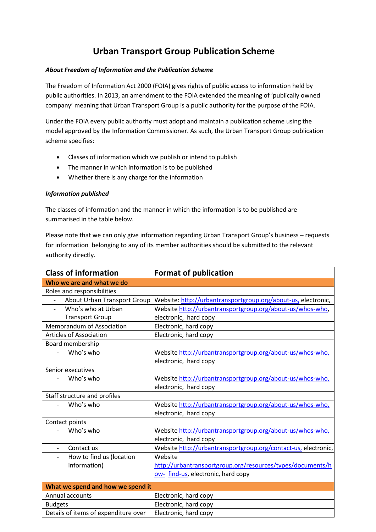# **Urban Transport Group Publication Scheme**

# *About Freedom of Information and the Publication Scheme*

The Freedom of Information Act 2000 (FOIA) gives rights of public access to information held by public authorities. In 2013, an amendment to the FOIA extended the meaning of 'publically owned company' meaning that Urban Transport Group is a public authority for the purpose of the FOIA.

Under the FOIA every public authority must adopt and maintain a publication scheme using the model approved by the Information Commissioner. As such, the Urban Transport Group publication scheme specifies:

- Classes of information which we publish or intend to publish
- The manner in which information is to be published
- Whether there is any charge for the information

# *Information published*

The classes of information and the manner in which the information is to be published are summarised in the table below.

Please note that we can only give information regarding Urban Transport Group's business – requests for information belonging to any of its member authorities should be submitted to the relevant authority directly.

| <b>Class of information</b>            | <b>Format of publication</b>                                   |
|----------------------------------------|----------------------------------------------------------------|
| Who we are and what we do              |                                                                |
| Roles and responsibilities             |                                                                |
| About Urban Transport Group            | Website: http://urbantransportgroup.org/about-us, electronic,  |
| Who's who at Urban<br>$\blacksquare$   | Website http://urbantransportgroup.org/about-us/whos-who,      |
| <b>Transport Group</b>                 | electronic, hard copy                                          |
| Memorandum of Association              | Electronic, hard copy                                          |
| <b>Articles of Association</b>         | Electronic, hard copy                                          |
| Board membership                       |                                                                |
| Who's who<br>$\overline{a}$            | Website http://urbantransportgroup.org/about-us/whos-who,      |
|                                        | electronic, hard copy                                          |
| Senior executives                      |                                                                |
| Who's who<br>$\overline{a}$            | Website http://urbantransportgroup.org/about-us/whos-who,      |
|                                        | electronic, hard copy                                          |
| Staff structure and profiles           |                                                                |
| Who's who                              | Website http://urbantransportgroup.org/about-us/whos-who,      |
|                                        | electronic, hard copy                                          |
| Contact points                         |                                                                |
| Who's who                              | Website http://urbantransportgroup.org/about-us/whos-who,      |
|                                        | electronic, hard copy                                          |
| Contact us<br>$\overline{\phantom{a}}$ | Website http://urbantransportgroup.org/contact-us, electronic, |
| How to find us (location               | Website                                                        |
| information)                           | http://urbantransportgroup.org/resources/types/documents/h     |
|                                        | ow- find-us, electronic, hard copy                             |
| What we spend and how we spend it      |                                                                |
| Annual accounts                        | Electronic, hard copy                                          |
| <b>Budgets</b>                         | Electronic, hard copy                                          |
| Details of items of expenditure over   | Electronic, hard copy                                          |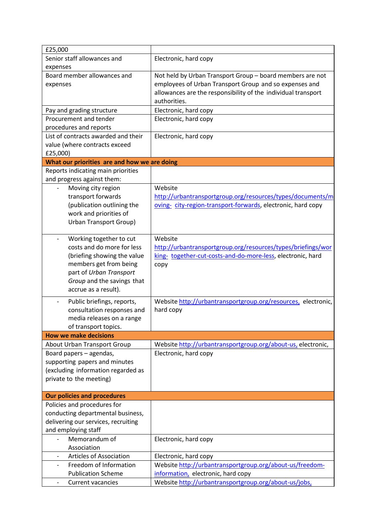| £25,000                                                |                                                                                                                                                                                                      |
|--------------------------------------------------------|------------------------------------------------------------------------------------------------------------------------------------------------------------------------------------------------------|
| Senior staff allowances and                            | Electronic, hard copy                                                                                                                                                                                |
| expenses                                               |                                                                                                                                                                                                      |
| Board member allowances and<br>expenses                | Not held by Urban Transport Group - board members are not<br>employees of Urban Transport Group and so expenses and<br>allowances are the responsibility of the individual transport<br>authorities. |
| Pay and grading structure                              | Electronic, hard copy                                                                                                                                                                                |
| Procurement and tender                                 | Electronic, hard copy                                                                                                                                                                                |
| procedures and reports                                 |                                                                                                                                                                                                      |
| List of contracts awarded and their                    | Electronic, hard copy                                                                                                                                                                                |
| value (where contracts exceed                          |                                                                                                                                                                                                      |
| £25,000)                                               |                                                                                                                                                                                                      |
| What our priorities are and how we are doing           |                                                                                                                                                                                                      |
| Reports indicating main priorities                     |                                                                                                                                                                                                      |
| and progress against them:                             |                                                                                                                                                                                                      |
| Moving city region                                     | Website                                                                                                                                                                                              |
| transport forwards                                     | http://urbantransportgroup.org/resources/types/documents/m                                                                                                                                           |
| (publication outlining the                             | oving- city-region-transport-forwards, electronic, hard copy                                                                                                                                         |
| work and priorities of                                 |                                                                                                                                                                                                      |
| <b>Urban Transport Group)</b>                          |                                                                                                                                                                                                      |
|                                                        |                                                                                                                                                                                                      |
| Working together to cut                                | Website                                                                                                                                                                                              |
| costs and do more for less                             | http://urbantransportgroup.org/resources/types/briefings/wor                                                                                                                                         |
| (briefing showing the value<br>members get from being  | king- together-cut-costs-and-do-more-less, electronic, hard                                                                                                                                          |
| part of Urban Transport                                | copy                                                                                                                                                                                                 |
| Group and the savings that                             |                                                                                                                                                                                                      |
| accrue as a result).                                   |                                                                                                                                                                                                      |
|                                                        |                                                                                                                                                                                                      |
| Public briefings, reports,                             | Website http://urbantransportgroup.org/resources, electronic,                                                                                                                                        |
| consultation responses and                             | hard copy                                                                                                                                                                                            |
| media releases on a range                              |                                                                                                                                                                                                      |
| of transport topics.<br><b>How we make decisions</b>   |                                                                                                                                                                                                      |
|                                                        |                                                                                                                                                                                                      |
| About Urban Transport Group<br>Board papers - agendas, | Website http://urbantransportgroup.org/about-us, electronic,<br>Electronic, hard copy                                                                                                                |
| supporting papers and minutes                          |                                                                                                                                                                                                      |
| (excluding information regarded as                     |                                                                                                                                                                                                      |
| private to the meeting)                                |                                                                                                                                                                                                      |
|                                                        |                                                                                                                                                                                                      |
| <b>Our policies and procedures</b>                     |                                                                                                                                                                                                      |
| Policies and procedures for                            |                                                                                                                                                                                                      |
| conducting departmental business,                      |                                                                                                                                                                                                      |
| delivering our services, recruiting                    |                                                                                                                                                                                                      |
| and employing staff                                    |                                                                                                                                                                                                      |
| Memorandum of                                          | Electronic, hard copy                                                                                                                                                                                |
| Association                                            |                                                                                                                                                                                                      |
| <b>Articles of Association</b><br>$\qquad \qquad -$    | Electronic, hard copy                                                                                                                                                                                |
| Freedom of Information                                 | Website http://urbantransportgroup.org/about-us/freedom-                                                                                                                                             |
| <b>Publication Scheme</b>                              | information, electronic, hard copy                                                                                                                                                                   |
| <b>Current vacancies</b><br>$\overline{\phantom{a}}$   | Website http://urbantransportgroup.org/about-us/jobs,                                                                                                                                                |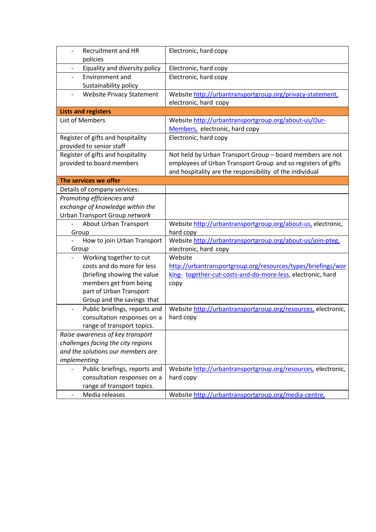| Recruitment and HR<br>$\overline{\phantom{0}}$<br>policies | Electronic, hard copy                                         |
|------------------------------------------------------------|---------------------------------------------------------------|
| Equality and diversity policy                              | Electronic, hard copy                                         |
|                                                            |                                                               |
| Environment and<br>$\overline{\phantom{0}}$                | Electronic, hard copy                                         |
| Sustainability policy                                      |                                                               |
| <b>Website Privacy Statement</b>                           | Website http://urbantransportgroup.org/privacy-statement,     |
|                                                            | electronic, hard copy                                         |
| <b>Lists and registers</b>                                 |                                                               |
| List of Members                                            | Website http://urbantransportgroup.org/about-us/Our-          |
|                                                            | Members, electronic, hard copy                                |
| Register of gifts and hospitality                          | Electronic, hard copy                                         |
| provided to senior staff                                   |                                                               |
| Register of gifts and hospitality                          | Not held by Urban Transport Group - board members are not     |
| provided to board members                                  | employees of Urban Transport Group and so registers of gifts  |
|                                                            | and hospitality are the responsibility of the individual      |
| The services we offer                                      |                                                               |
| Details of company services:                               |                                                               |
| Promoting efficiencies and                                 |                                                               |
| exchange of knowledge within the                           |                                                               |
| Urban Transport Group network                              |                                                               |
| About Urban Transport                                      | Website http://urbantransportgroup.org/about-us, electronic,  |
| Group                                                      | hard copy                                                     |
| How to join Urban Transport<br>$\overline{\phantom{0}}$    | Website http://urbantransportgroup.org/about-us/join-pteg,    |
| Group                                                      | electronic, hard copy                                         |
| Working together to cut                                    | Website                                                       |
| costs and do more for less                                 | http://urbantransportgroup.org/resources/types/briefings/wor  |
| (briefing showing the value                                | king- together-cut-costs-and-do-more-less, electronic, hard   |
| members get from being                                     | copy                                                          |
| part of Urban Transport                                    |                                                               |
| Group and the savings that                                 |                                                               |
| Public briefings, reports and                              | Website http://urbantransportgroup.org/resources, electronic, |
| consultation responses on a                                | hard copy                                                     |
| range of transport topics.                                 |                                                               |
| Raise awareness of key transport                           |                                                               |
| challenges facing the city regions                         |                                                               |
| and the solutions our members are                          |                                                               |
| implementing                                               |                                                               |
| Public briefings, reports and                              | Website http://urbantransportgroup.org/resources, electronic, |
| consultation responses on a                                | hard copy                                                     |
| range of transport topics.                                 |                                                               |
| Media releases                                             | Website http://urbantransportgroup.org/media-centre,          |
|                                                            |                                                               |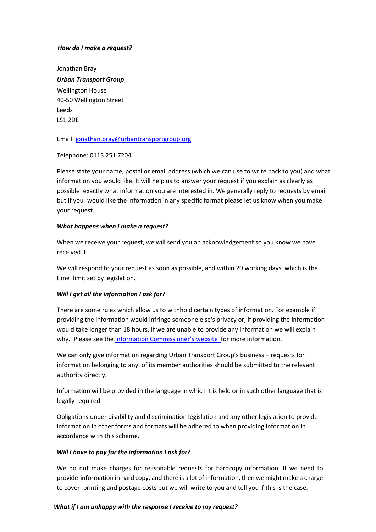#### *How do I make a request?*

Jonathan Bray *Urban Transport Group* Wellington House 40‐50 Wellington Street Leeds LS1 2DE

Email: jonathan.bray@urbantransportgroup.org

Telephone: 0113 251 7204

Please state your name, postal or email address (which we can use to write back to you) and what information you would like. It will help us to answer your request if you explain as clearly as possible exactly what information you are interested in. We generally reply to requests by email but if you would like the information in any specific format please let us know when you make your request.

#### *What happens when I make a request?*

When we receive your request, we will send you an acknowledgement so you know we have received it.

We will respond to your request as soon as possible, and within 20 working days, which is the time limit set by legislation.

## *Will I get all the information I ask for?*

There are some rules which allow us to withhold certain types of information. For example if providing the information would infringe someone else's privacy or, if providing the information would take longer than 18 hours. If we are unable to provide any information we will explain why. Please see the Information Commissioner's website for more information.

We can only give information regarding Urban Transport Group's business – requests for information belonging to any of its member authorities should be submitted to the relevant authority directly.

Information will be provided in the language in which it is held or in such other language that is legally required.

Obligations under disability and discrimination legislation and any other legislation to provide information in other forms and formats will be adhered to when providing information in accordance with this scheme.

## *Will I have to pay for the information I ask for?*

We do not make charges for reasonable requests for hardcopy information. If we need to provide information in hard copy, and there is a lot of information, then we might make a charge to cover printing and postage costs but we will write to you and tell you if this is the case.

## *What if I am unhappy with the response I receive to my request?*